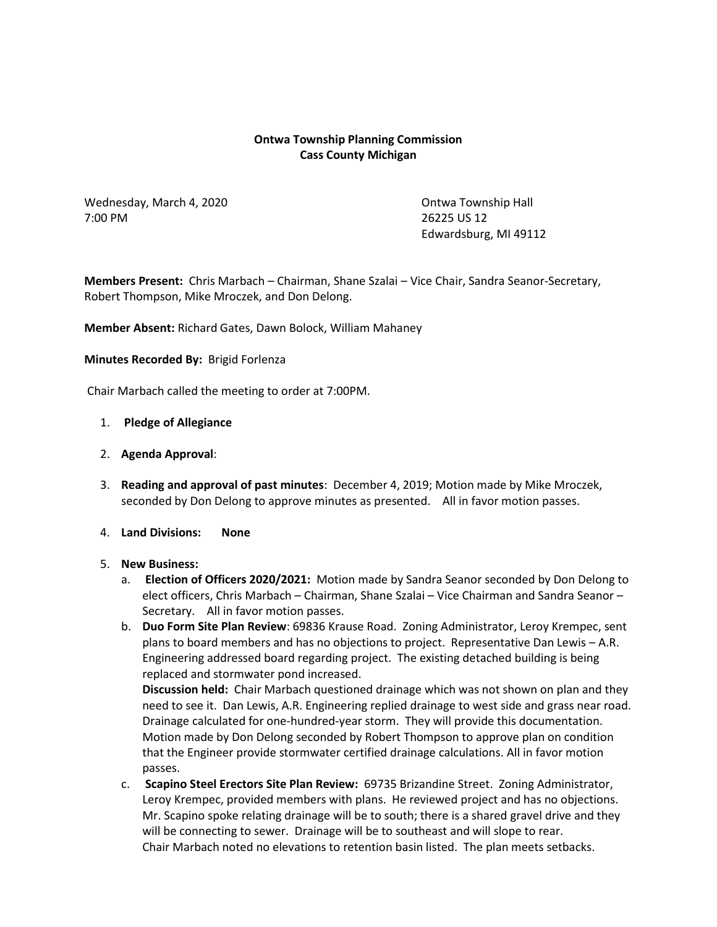## **Ontwa Township Planning Commission Cass County Michigan**

Wednesday, March 4, 2020 **Canadian Control** Contwa Township Hall 7:00 PM 26225 US 12

Edwardsburg, MI 49112

**Members Present:** Chris Marbach – Chairman, Shane Szalai – Vice Chair, Sandra Seanor-Secretary, Robert Thompson, Mike Mroczek, and Don Delong.

**Member Absent:** Richard Gates, Dawn Bolock, William Mahaney

**Minutes Recorded By:** Brigid Forlenza

Chair Marbach called the meeting to order at 7:00PM.

#### 1. **Pledge of Allegiance**

- 2. **Agenda Approval**:
- 3. **Reading and approval of past minutes**: December 4, 2019; Motion made by Mike Mroczek, seconded by Don Delong to approve minutes as presented. All in favor motion passes.
- 4. **Land Divisions: None**
- 5. **New Business:** 
	- a. **Election of Officers 2020/2021:** Motion made by Sandra Seanor seconded by Don Delong to elect officers, Chris Marbach – Chairman, Shane Szalai – Vice Chairman and Sandra Seanor – Secretary. All in favor motion passes.
	- b. **Duo Form Site Plan Review**: 69836 Krause Road. Zoning Administrator, Leroy Krempec, sent plans to board members and has no objections to project. Representative Dan Lewis – A.R. Engineering addressed board regarding project. The existing detached building is being replaced and stormwater pond increased.

**Discussion held:** Chair Marbach questioned drainage which was not shown on plan and they need to see it. Dan Lewis, A.R. Engineering replied drainage to west side and grass near road. Drainage calculated for one-hundred-year storm. They will provide this documentation. Motion made by Don Delong seconded by Robert Thompson to approve plan on condition that the Engineer provide stormwater certified drainage calculations. All in favor motion passes.

c. **Scapino Steel Erectors Site Plan Review:** 69735 Brizandine Street. Zoning Administrator, Leroy Krempec, provided members with plans. He reviewed project and has no objections. Mr. Scapino spoke relating drainage will be to south; there is a shared gravel drive and they will be connecting to sewer. Drainage will be to southeast and will slope to rear. Chair Marbach noted no elevations to retention basin listed. The plan meets setbacks.